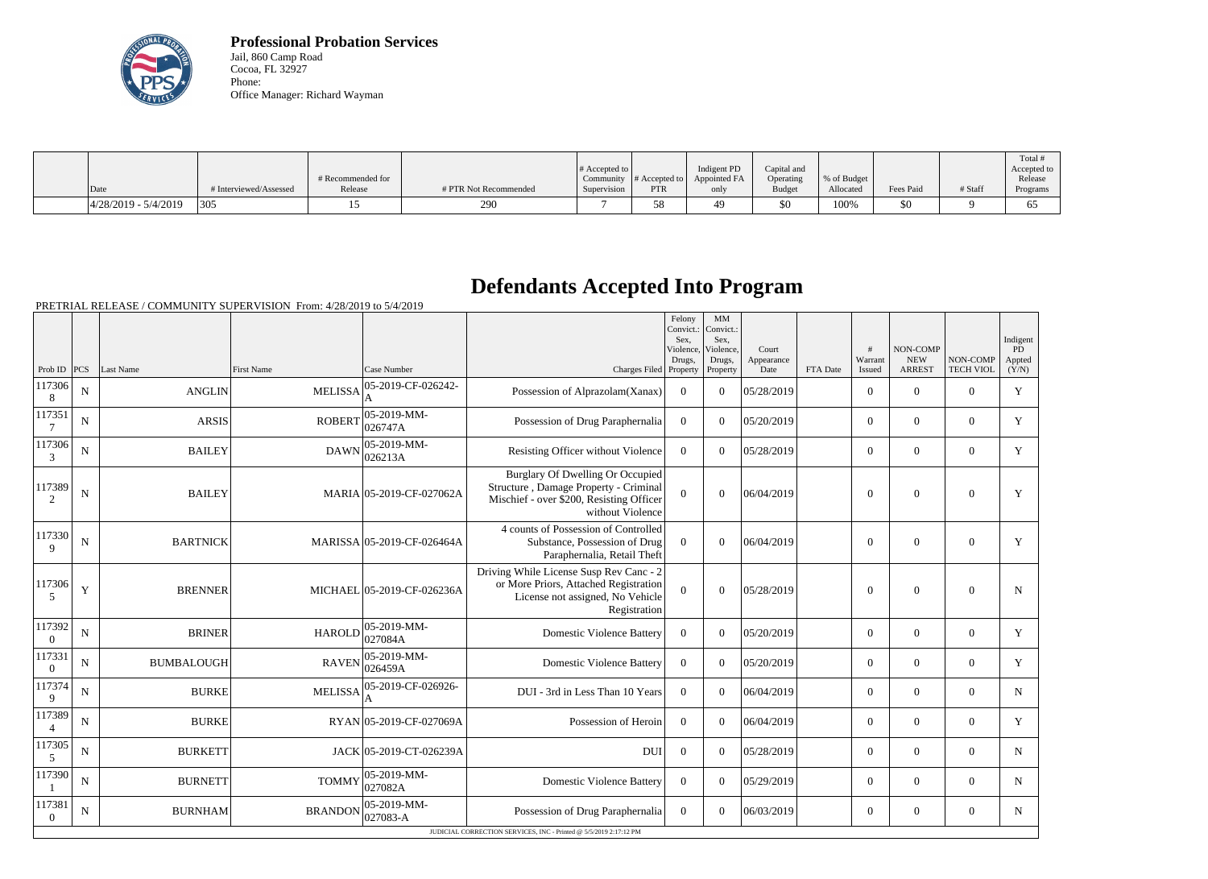

**Professional Probation Services** Jail, 860 Camp Road Cocoa, FL 32927 Phone: Office Manager: Richard Wayman

|                          |                        |                   |                       |                       |               |              |               |             |           |         | Total #     |
|--------------------------|------------------------|-------------------|-----------------------|-----------------------|---------------|--------------|---------------|-------------|-----------|---------|-------------|
|                          |                        |                   |                       | # Accepted to $\vert$ |               | Indigent PD  | Capital and   |             |           |         | Accepted to |
|                          |                        | # Recommended for |                       | Community             | # Accepted to | Appointed FA | Operating     | % of Budget |           |         | Release     |
| Date                     | # Interviewed/Assessed | Release           | # PTR Not Recommended | Supervision           | <b>PTR</b>    | only         | <b>Budget</b> | Allocated   | Fees Paid | # Staff | Programs    |
| $ 4/28/2019 - 5/4/2019 $ | 305                    |                   | 290                   |                       | 58            | 49.          | \$0           | 100%        | \$0       |         | υJ          |

## **Defendants Accepted Into Program**

|                          |             |                   |                |                                |                                                                                                                                           | Felony<br>Convict.<br>Sex,<br>Violence, | MM<br>Convict.:<br>Sex,<br>Violence. | Court              |          | #                 | <b>NON-COMP</b>             |                              | Indigent<br>PD  |
|--------------------------|-------------|-------------------|----------------|--------------------------------|-------------------------------------------------------------------------------------------------------------------------------------------|-----------------------------------------|--------------------------------------|--------------------|----------|-------------------|-----------------------------|------------------------------|-----------------|
| Prob ID $PCS$            |             | Last Name         | First Name     | Case Number                    | Charges Filed Property                                                                                                                    | Drugs,                                  | Drugs,<br>Property                   | Appearance<br>Date | FTA Date | Warrant<br>Issued | <b>NEW</b><br><b>ARREST</b> | NON-COMP<br><b>TECH VIOL</b> | Appted<br>(Y/N) |
| 117306<br>8              | $\mathbf N$ | <b>ANGLIN</b>     | <b>MELISSA</b> | 05-2019-CF-026242-             | Possession of Alprazolam(Xanax)                                                                                                           | $\overline{0}$                          | $\Omega$                             | 05/28/2019         |          | $\overline{0}$    | $\theta$                    | $\theta$                     | Y               |
| 117351<br>$\overline{7}$ | $\mathbf N$ | <b>ARSIS</b>      | <b>ROBERT</b>  | $ 05 - 2019 - MM -$<br>026747A | Possession of Drug Paraphernalia                                                                                                          | $\theta$                                | $\Omega$                             | 05/20/2019         |          | $\theta$          | $\Omega$                    | $\theta$                     | $\mathbf Y$     |
| 117306<br>$\overline{3}$ | $\mathbf N$ | <b>BAILEY</b>     | <b>DAWN</b>    | $ 05 - 2019 - MM -$<br>026213A | Resisting Officer without Violence                                                                                                        | $\theta$                                | $\Omega$                             | 05/28/2019         |          | $\overline{0}$    | $\overline{0}$              | $\overline{0}$               | Y               |
| 117389<br>2              | N           | <b>BAILEY</b>     |                | MARIA 05-2019-CF-027062A       | Burglary Of Dwelling Or Occupied<br>Structure, Damage Property - Criminal<br>Mischief - over \$200, Resisting Officer<br>without Violence | $\Omega$                                | $\theta$                             | 06/04/2019         |          | $\overline{0}$    | $\theta$                    | $\overline{0}$               | Y               |
| 117330<br>9              | N           | <b>BARTNICK</b>   |                | MARISSA 05-2019-CF-026464A     | 4 counts of Possession of Controlled<br>Substance, Possession of Drug<br>Paraphernalia, Retail Theft                                      | $\theta$                                | $\theta$                             | 06/04/2019         |          | $\boldsymbol{0}$  | $\mathbf{0}$                | $\overline{0}$               | Y               |
| 117306<br>5              | Y           | <b>BRENNER</b>    |                | MICHAEL 05-2019-CF-026236A     | Driving While License Susp Rev Canc - 2<br>or More Priors, Attached Registration<br>License not assigned, No Vehicle<br>Registration      | $\mathbf{0}$                            | $\mathbf{0}$                         | 05/28/2019         |          | $\mathbf{0}$      | $\boldsymbol{0}$            | $\overline{0}$               | N               |
| 117392<br>$\Omega$       | ${\bf N}$   | <b>BRINER</b>     | <b>HAROLD</b>  | $ 05-2019-MM -$<br>027084A     | <b>Domestic Violence Battery</b>                                                                                                          | $\boldsymbol{0}$                        | $\Omega$                             | 05/20/2019         |          | $\overline{0}$    | $\boldsymbol{0}$            | $\overline{0}$               | Y               |
| 117331<br>$\Omega$       | $\mathbf N$ | <b>BUMBALOUGH</b> | <b>RAVEN</b>   | $ 05-2019-MM-$<br>026459A      | <b>Domestic Violence Battery</b>                                                                                                          | $\theta$                                | $\Omega$                             | 05/20/2019         |          | $\overline{0}$    | $\theta$                    | $\overline{0}$               | Y               |
| 117374<br>9              | N           | <b>BURKE</b>      | <b>MELISSA</b> | 05-2019-CF-026926-             | DUI - 3rd in Less Than 10 Years                                                                                                           | $\overline{0}$                          | $\Omega$                             | 06/04/2019         |          | $\overline{0}$    | $\mathbf{0}$                | $\overline{0}$               | $\mathbf N$     |
| 117389<br>$\overline{4}$ | $\mathbf N$ | <b>BURKE</b>      |                | RYAN 05-2019-CF-027069A        | Possession of Heroin                                                                                                                      | $\overline{0}$                          | $\Omega$                             | 06/04/2019         |          | $\overline{0}$    | $\mathbf{0}$                | $\Omega$                     | Y               |
| 117305<br>$\overline{5}$ | N           | <b>BURKETT</b>    |                | JACK 05-2019-CT-026239A        | <b>DUI</b>                                                                                                                                | $\overline{0}$                          | $\overline{0}$                       | 05/28/2019         |          | $\overline{0}$    | $\boldsymbol{0}$            | $\overline{0}$               | N               |
| 117390                   | $\mathbf N$ | <b>BURNETT</b>    | <b>TOMMY</b>   | $ 05-2019-MM -$<br> 027082A    | <b>Domestic Violence Battery</b>                                                                                                          | $\theta$                                | $\Omega$                             | 05/29/2019         |          | $\overline{0}$    | $\theta$                    | $\overline{0}$               | $\mathbf N$     |
| 117381<br>$\Omega$       | N           | <b>BURNHAM</b>    | <b>BRANDON</b> | $ 05-2019-MM-$<br>$ 027083-A$  | Possession of Drug Paraphernalia                                                                                                          | $\overline{0}$                          | $\Omega$                             | 06/03/2019         |          | $\overline{0}$    | $\boldsymbol{0}$            | $\overline{0}$               | N               |
|                          |             |                   |                |                                | JUDICIAL CORRECTION SERVICES, INC - Printed @ 5/5/2019 2:17:12 PM                                                                         |                                         |                                      |                    |          |                   |                             |                              |                 |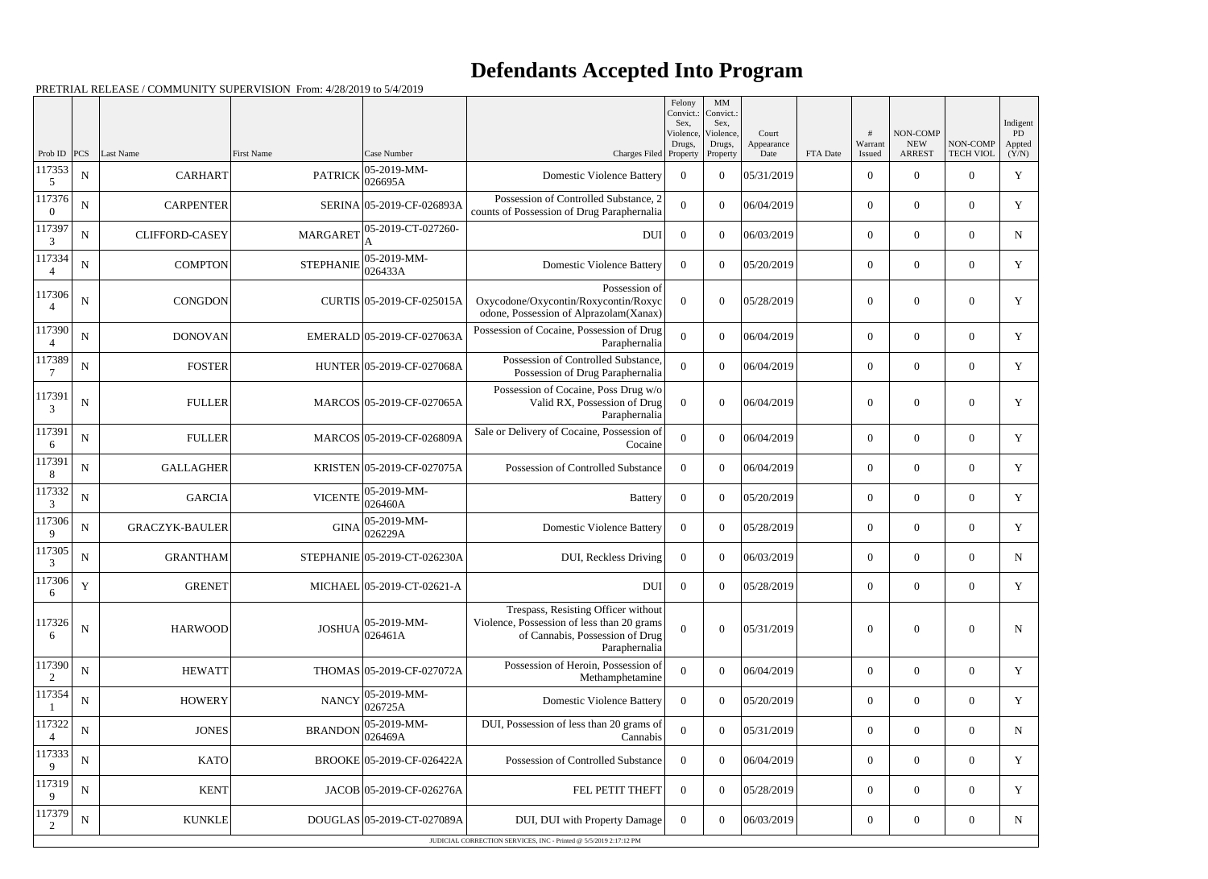## **Defendants Accepted Into Program**

Prob ID | PCS | Last Name | First Name | Case Number | Case Number | Case Number | Charges Filed Felony Convict.: Sex, Violence Drugs, Property MM Convict. Sex, Violence, Drugs, Property Court Appearance<br>Date FTA Date # Warrant Issued NON-COMP NEW ARREST NON-COMP TECH VIOL Indigent PD Appted  $(Y/N)$ 117353 5  $N \begin{bmatrix} 05-2019-MM-1 \end{bmatrix}$  PATRICK  $\begin{bmatrix} 05-2019-MM-1 \end{bmatrix}$ 026695A Domestic Violence Battery <sup>0</sup> <sup>0</sup> 05/31/2019 <sup>0</sup> <sup>0</sup> <sup>0</sup> <sup>Y</sup> 117376 0 N CARPENTER SERINA 05-2019-CF-026893A Possession of Controlled Substance, 2  $\begin{array}{c|c|c|c|c|c|c|c|c} \hline \text{crosses} & \text{of Donu, of Drug Paraphernalia} \hline \end{array}$  0 06/04/2019 0 0 0 0  $\hline \end{array}$  0 0  $\hline$ 117397 3  $N$  CLIFFORD-CASEY MARGARET  $05$ -2019-CT-027260-A  $\text{DUI} \begin{array}{|c|c|c|c|c|c|} \hline \text{O} & \text{O} & \text{O} & \text{O} & \text{O} & \text{O} & \text{O} \ \hline \text{O} & \text{O} & \text{O} & \text{O} & \text{O} & \text{N} \ \hline \end{array}$ 117334 4  $N \begin{bmatrix} \text{COMPTON} \end{bmatrix}$  STEPHANIE 05-2019-MM-<br>026433A 026433A Domestic Violence Battery <sup>0</sup> <sup>0</sup> 05/20/2019 <sup>0</sup> <sup>0</sup> <sup>0</sup> <sup>Y</sup> 117306 4 N CONGDON CURTIS 05-2019-CF-025015A Possession of Oxycodone/Oxycontin/Roxycontin/Roxyc odone, Possession of Alprazolam(Xanax)  $0 \t 0 \t 05/28/2019$  0 0 0 Y 117390 4 N DONOVAN EMERALD 05-2019-CF-027063A Possession of Cocaine, Possession of Drug Paraphernalia  $\begin{array}{c|c|c|c|c|c} 0 & 0 & 06/04/2019 \end{array}$  0 0 0 Y 117389 7 N FOSTER HUNTER 05-2019-CF-027068A Possession of Controlled Substance, Possession of Drug Paraphernalia <sup>0</sup> <sup>0</sup> 06/04/2019 <sup>0</sup> <sup>0</sup> <sup>0</sup> <sup>Y</sup> 117391 3 N | FULLER MARCOS 05-2019-CF-027065A Possession of Cocaine, Poss Drug w/o Valid RX, Possession of Drug Paraphernalia  $0 \t 0 \t 06/04/2019$  0 0 0 y 117391 6 N FULLER MARCOS 05-2019-CF-026809A Sale or Delivery of Cocaine, Possession of Cocaine <sup>0</sup> <sup>0</sup> 06/04/2019 <sup>0</sup> <sup>0</sup> <sup>0</sup> <sup>Y</sup> 117391 8 N GALLAGHER KRISTEN 05-2019-CF-027075A Possession of Controlled Substance 0 0 06/04/2019 0 0 0 0 y 117332 3  $N \begin{bmatrix} \n\text{GARCH} \n\end{bmatrix}$  VICENTE 05-2019-MM-026460A Battery <sup>0</sup> <sup>0</sup> 05/20/2019 <sup>0</sup> <sup>0</sup> <sup>0</sup> <sup>Y</sup> 117306 9  $N \begin{bmatrix} \nGRACZYK-BAULER \n\end{bmatrix}$  GINA  $\begin{bmatrix} 05-2019-MM-0.026229A \n\end{bmatrix}$ 026229A Domestic Violence Battery <sup>0</sup> <sup>0</sup> 05/28/2019 <sup>0</sup> <sup>0</sup> <sup>0</sup> <sup>Y</sup> 117305 3 N GRANTHAM STEPHANIE 05-2019-CT-026230A DUI, Reckless Driving 0 0 06/03/2019 0 0 0 0 N 117306 6  $Y$  GRENET GRENET MICHAEL 05-2019-CT-02621-A 117326 6  $N$  HARWOOD  $\qquad \qquad$  JOSHUA 05-2019-MM-026461A Trespass, Resisting Officer without Violence, Possession of less than 20 grams of Cannabis, Possession of Drug Paraphernalia  $0 \t 0 \t 05/31/2019$  0 0 0 N 117390 2 N HEWATT THOMAS 05-2019-CF-027072A Possession of Heroin, Possession of Methamphetamine <sup>0</sup> <sup>0</sup> 06/04/2019 <sup>0</sup> <sup>0</sup> <sup>0</sup> <sup>Y</sup> 117354 1 <sup>N</sup> HOWERY NANCY 05-2019-MM-026725A Domestic Violence Battery <sup>0</sup> <sup>0</sup> 05/20/2019 <sup>0</sup> <sup>0</sup> <sup>0</sup> <sup>Y</sup> 117322 4  $N \begin{bmatrix} \text{N} & \text{JONES} \end{bmatrix}$  BRANDON 05-2019-MM-026469A DUI, Possession of less than 20 grams of Examples  $\begin{bmatrix} 0 & 0 & 0.05/31/2019 \\ 0 & 0 & 0.05/31/2019 \end{bmatrix}$   $\begin{bmatrix} 0 & 0 & 0 \\ 0 & 0 & 0 \end{bmatrix}$ 117333 9  $N$  KATO BROOKE 05-2019-CF-026422A Possession of Controlled Substance 0 0 06/04/2019 0 0 0 0 0  $\gamma$ 117319 9 N | KENT | JACOB 05-2019-CF-026276A | FEL PETIT THEFT 0 0 05/28/2019 | 0 0 0 0 0 Y 117379 2 N | KUNKLE DOUGLAS 05-2019-CT-027089A DUI, DUI with Property Damage 0 0 06/03/2019 | 0 0 0 N JUDICIAL CORRECTION SERVICES, INC - Printed @ 5/5/2019 2:17:12 PM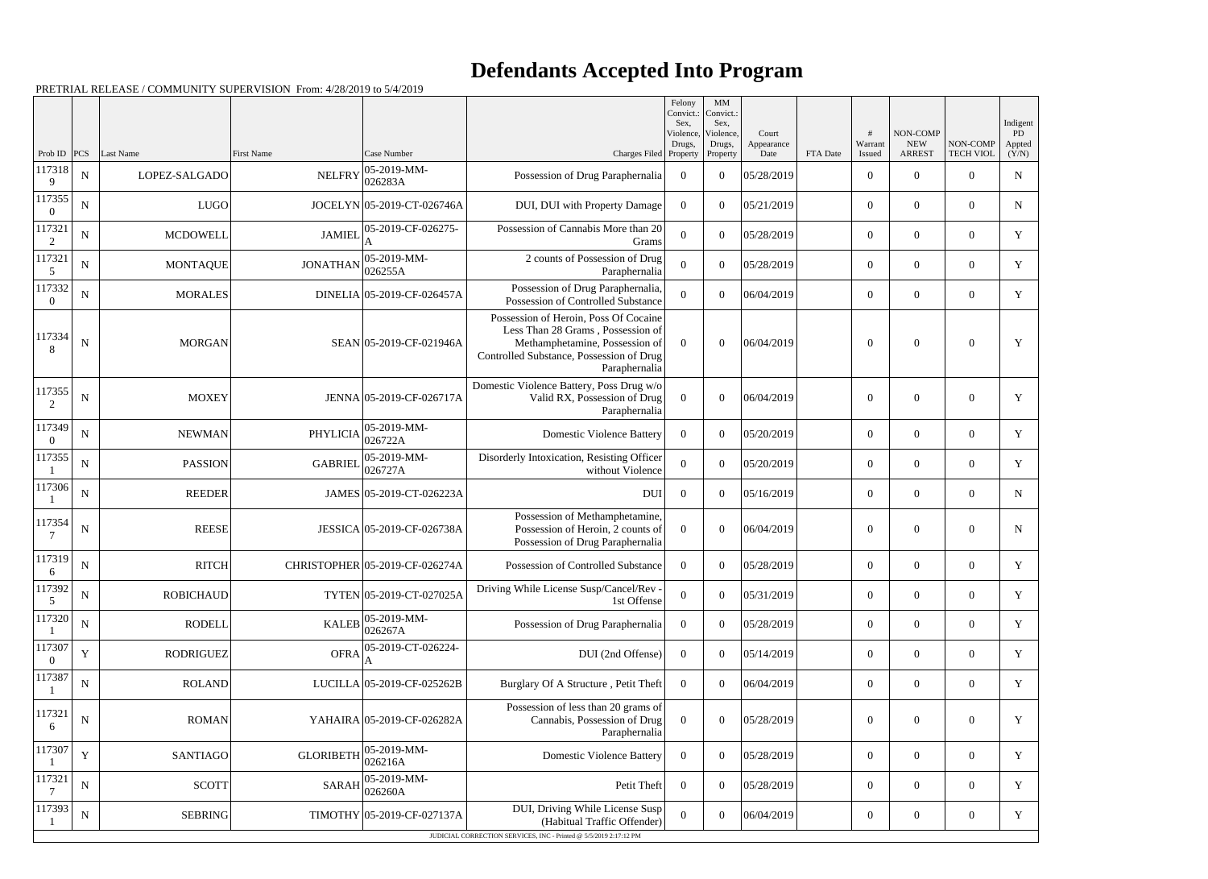## **Defendants Accepted Into Program**

|                      |             |                  |                   |                                |                                                                                                                                                                           | Felony<br>Convict.:<br>Sex, | MM<br>Convict.:<br>Sex,         |                             |          |                   |                                         |                              | Indigent              |
|----------------------|-------------|------------------|-------------------|--------------------------------|---------------------------------------------------------------------------------------------------------------------------------------------------------------------------|-----------------------------|---------------------------------|-----------------------------|----------|-------------------|-----------------------------------------|------------------------------|-----------------------|
| Prob ID              | PCS         | Last Name        | <b>First Name</b> | Case Number                    | Charges Filed Property                                                                                                                                                    | Violence,<br>Drugs,         | Violence,<br>Drugs,<br>Property | Court<br>Appearance<br>Date | FTA Date | Warrant<br>Issued | NON-COMP<br><b>NEW</b><br><b>ARREST</b> | NON-COMP<br><b>TECH VIOL</b> | PD<br>Appted<br>(Y/N) |
| 117318<br>q          | ${\bf N}$   | LOPEZ-SALGADO    | <b>NELFRY</b>     | 05-2019-MM-<br>026283A         | Possession of Drug Paraphernalia                                                                                                                                          | $\overline{0}$              | $\theta$                        | 05/28/2019                  |          | $\overline{0}$    | $\theta$                                | $\overline{0}$               | ${\bf N}$             |
| 117355               | N           | <b>LUGO</b>      |                   | JOCELYN 05-2019-CT-026746A     | DUI, DUI with Property Damage                                                                                                                                             | $\overline{0}$              | $\theta$                        | 05/21/2019                  |          | $\boldsymbol{0}$  | $\overline{0}$                          | $\overline{0}$               | $\mathbf N$           |
| 117321<br>2          | N           | <b>MCDOWELL</b>  | <b>JAMIEL</b>     | 05-2019-CF-026275-             | Possession of Cannabis More than 20<br>Grams                                                                                                                              | $\theta$                    | $\theta$                        | 05/28/2019                  |          | $\overline{0}$    | $\theta$                                | $\overline{0}$               | Y                     |
| 117321<br>5          | N           | <b>MONTAQUE</b>  | <b>JONATHAN</b>   | 05-2019-MM-<br>026255A         | 2 counts of Possession of Drug<br>Paraphernalia                                                                                                                           | $\mathbf{0}$                | $\theta$                        | 05/28/2019                  |          | $\boldsymbol{0}$  | $\overline{0}$                          | $\overline{0}$               | Y                     |
| 117332               | N           | <b>MORALES</b>   |                   | DINELIA 05-2019-CF-026457A     | Possession of Drug Paraphernalia,<br>Possession of Controlled Substance                                                                                                   | $\Omega$                    | $\Omega$                        | 06/04/2019                  |          | $\overline{0}$    | $\theta$                                | $\overline{0}$               | Y                     |
| 117334               | N           | <b>MORGAN</b>    |                   | SEAN 05-2019-CF-021946A        | Possession of Heroin, Poss Of Cocaine<br>Less Than 28 Grams, Possession of<br>Methamphetamine, Possession of<br>Controlled Substance, Possession of Drug<br>Paraphernalia | $\overline{0}$              | $\Omega$                        | 06/04/2019                  |          | $\theta$          | $\Omega$                                | $\overline{0}$               | Y                     |
| 117355<br>2          | ${\bf N}$   | <b>MOXEY</b>     |                   | JENNA 05-2019-CF-026717A       | Domestic Violence Battery, Poss Drug w/o<br>Valid RX, Possession of Drug<br>Paraphernalia                                                                                 | $\overline{0}$              | $\theta$                        | 06/04/2019                  |          | $\overline{0}$    | $\theta$                                | $\overline{0}$               | Y                     |
| 117349               | $\mathbf N$ | <b>NEWMAN</b>    | PHYLICIA          | 05-2019-MM-<br>026722A         | <b>Domestic Violence Battery</b>                                                                                                                                          | $\overline{0}$              | $\theta$                        | 05/20/2019                  |          | $\overline{0}$    | $\overline{0}$                          | $\overline{0}$               | Y                     |
| 117355               | $\mathbf N$ | <b>PASSION</b>   | <b>GABRIEL</b>    | 05-2019-MM-<br>026727A         | Disorderly Intoxication, Resisting Officer<br>without Violence                                                                                                            | $\overline{0}$              | $\theta$                        | 05/20/2019                  |          | $\overline{0}$    | $\overline{0}$                          | $\overline{0}$               | Y                     |
| 117306               | $\mathbf N$ | <b>REEDER</b>    |                   | JAMES 05-2019-CT-026223A       | <b>DUI</b>                                                                                                                                                                | $\overline{0}$              | $\theta$                        | 05/16/2019                  |          | $\overline{0}$    | $\overline{0}$                          | $\overline{0}$               | $\mathbf N$           |
| 117354               | ${\bf N}$   | <b>REESE</b>     |                   | JESSICA 05-2019-CF-026738A     | Possession of Methamphetamine,<br>Possession of Heroin, 2 counts of<br>Possession of Drug Paraphernalia                                                                   | $\Omega$                    | $\theta$                        | 06/04/2019                  |          | $\overline{0}$    | $\Omega$                                | $\overline{0}$               | $\mathbf N$           |
| 117319<br>6          | N           | <b>RITCH</b>     |                   | CHRISTOPHER 05-2019-CF-026274A | Possession of Controlled Substance                                                                                                                                        | $\Omega$                    | $\theta$                        | 05/28/2019                  |          | $\overline{0}$    | $\overline{0}$                          | $\overline{0}$               | Y                     |
| 117392<br>$\sqrt{5}$ | ${\bf N}$   | <b>ROBICHAUD</b> |                   | TYTEN 05-2019-CT-027025A       | Driving While License Susp/Cancel/Rev -<br>1st Offense                                                                                                                    | $\overline{0}$              | $\overline{0}$                  | 05/31/2019                  |          | $\boldsymbol{0}$  | $\boldsymbol{0}$                        | $\boldsymbol{0}$             | Y                     |
| 117320               | $\mathbf N$ | <b>RODELL</b>    | <b>KALEB</b>      | 05-2019-MM-<br>026267A         | Possession of Drug Paraphernalia                                                                                                                                          | $\overline{0}$              | $\overline{0}$                  | 05/28/2019                  |          | $\overline{0}$    | $\overline{0}$                          | $\overline{0}$               | Y                     |
| 117307               | Y           | <b>RODRIGUEZ</b> | <b>OFRA</b>       | 05-2019-CT-026224-             | DUI (2nd Offense)                                                                                                                                                         | $\overline{0}$              | $\theta$                        | 05/14/2019                  |          | $\overline{0}$    | $\overline{0}$                          | $\overline{0}$               | Y                     |
| 117387               | $\mathbf N$ | <b>ROLAND</b>    |                   | LUCILLA 05-2019-CF-025262B     | Burglary Of A Structure, Petit Theft                                                                                                                                      | $\overline{0}$              | $\theta$                        | 06/04/2019                  |          | $\overline{0}$    | $\overline{0}$                          | $\overline{0}$               | Y                     |
| 117321<br>6          | N           | <b>ROMAN</b>     |                   | YAHAIRA 05-2019-CF-026282A     | Possession of less than 20 grams of<br>Cannabis, Possession of Drug<br>Paraphernalia                                                                                      | $\overline{0}$              | $\boldsymbol{0}$                | 05/28/2019                  |          | $\boldsymbol{0}$  | $\overline{0}$                          | $\boldsymbol{0}$             | Y                     |
| 117307               | Y           | <b>SANTIAGO</b>  | <b>GLORIBETH</b>  | 05-2019-MM-<br>026216A         | <b>Domestic Violence Battery</b>                                                                                                                                          | $\overline{0}$              | $\overline{0}$                  | 05/28/2019                  |          | $\overline{0}$    | $\overline{0}$                          | $\overline{0}$               | Y                     |
| 117321               | N           | SCOTT            | <b>SARAH</b>      | 05-2019-MM-<br>026260A         | Petit Theft                                                                                                                                                               | $\overline{0}$              | $\theta$                        | 05/28/2019                  |          | $\overline{0}$    | $\overline{0}$                          | $\overline{0}$               | Y                     |
| 117393               | ${\bf N}$   | <b>SEBRING</b>   |                   | TIMOTHY 05-2019-CF-027137A     | DUI, Driving While License Susp<br>(Habitual Traffic Offender)                                                                                                            | $\theta$                    | $\overline{0}$                  | 06/04/2019                  |          | $\boldsymbol{0}$  | $\boldsymbol{0}$                        | $\boldsymbol{0}$             | Y                     |
|                      |             |                  |                   |                                | JUDICIAL CORRECTION SERVICES, INC - Printed @ 5/5/2019 2:17:12 PM                                                                                                         |                             |                                 |                             |          |                   |                                         |                              |                       |